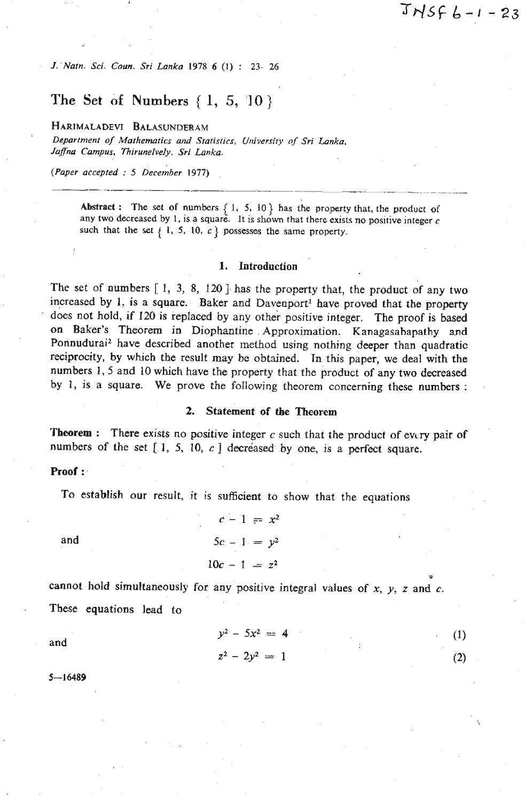*J. Nafn. Sci.* **Coun.** *Sri Lanka 1978 6* **(1)** : **23- 26** 

# **The Set of Numbers** { 1, 5, **'1 0** )

**HARIMALADEVI BALASUNDERAM** 

*Department of Mafhemafics and Statistics, U~liversity of* **Sri** *Lanka, Jaflnu* **Campus. 7hirunelvely, Sri** *Lankn.* 

*(Paper accepted* : *5 ~erember 1977)* 

**Abstract :** The set of numbers  $\{1, 5, 10\}$  has the property that, the product of **any two decreased by 1, is** a **square. It is shown that there exists no positive integer c**  such that the set  $\{ 1, 5, 10, c \}$  possesses the same property.

### 1. Introduction

The set of numbers  $[1, 3, 8, 120]$  has the property that, the product of any two increased by 1, is a square. Baker and Davenport<sup>1</sup> have proved that the property does not hold, if 120 is replaced by any other positive integer. The proof is based on Baker's Theorem in Diophantine , Approximation. Kanagasahapathy and **Porinudurai2** have described another method using nothing **deeper** than quadratic reciprocity, by which the result **may** be obtained. In this paper, we deal with the numbers 1,5 and 10 which have the property that the product of **any** two decreased by 1, is a square. We prove the foIlowing theorem concerning these numbers :

#### **2.** Statement of **tbe** Theorem

Theorem : There exists no positive integer **c** such that the product of ewry pair of numbers of the set  $[1, 5, 10, c]$  decreased by one, is a perfect square.

#### Proof :

To establish our result, it is sufficient to show that the equations

$$
c - 1 = x2
$$
  
and  

$$
5c - 1 = y2
$$
  

$$
10c - 1 = z2
$$

cannot hold simultaneously for any positive integral values of  $x$ ,  $y$ ,  $z$  and  $c$ . These equations lead to

$$
y^2 - 5x^2 = 4
$$
 (1)  

$$
z^2 - 2y^2 = 1
$$
 (2)

\*

 $(2)$ 

$$
5 - 16489
$$

**and**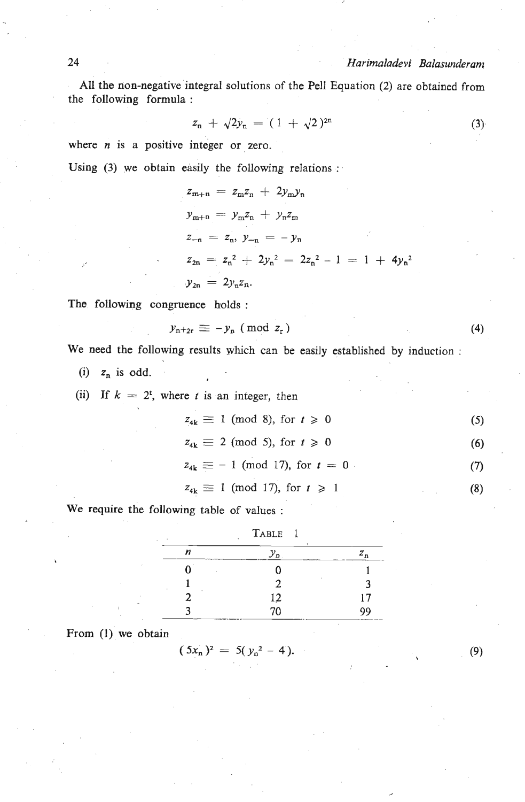*Harimaladevi Balasunderam* 

All the non-negative integral solutions of the Pell Equation (2) are obtained from the following formula :

$$
z_n + \sqrt{2}y_n = (1 + \sqrt{2})^{2n} \tag{3}
$$

where *n* is a positive integer or zero.

Using **(3)** we obtain easily the following relations :

$$
z_{m+n} = z_m z_n + 2y_m y_n
$$
  
\n
$$
y_{m+n} = y_m z_n + y_n z_m
$$
  
\n
$$
z_{-n} = z_n, y_{-n} = -y_n
$$
  
\n
$$
z_{2n} = z_n^2 + 2y_n^2 = 2z_n^2 - 1 = 1 + 4y_n^2
$$
  
\n
$$
y_{2n} = 2y_n z_n.
$$

The following congruence holds:

$$
y_{n+2r} \equiv -y_n \pmod{z_r}
$$

We need the following results yhich can be easily established by induction :

(i)  $z_n$  is odd.

(ii) If 
$$
k = 2^t
$$
, where *t* is an integer, then

$$
z_{4k} \equiv 1 \pmod{8}, \text{ for } t \geq 0 \tag{5}
$$

$$
z_{4k} \equiv 2 \pmod{5}, \text{ for } t \geqslant 0 \tag{6}
$$

$$
z_{4k} \equiv -1 \pmod{17}
$$
, for  $t = 0$  (7)

$$
z_{4k} \equiv 1 \pmod{17}, \text{ for } t \geq 1 \tag{8}
$$

We require the following table of values :

| TABLE 1<br>٠ |         |         |
|--------------|---------|---------|
| n            | $y_{p}$ | $z_{n}$ |
| ٠            |         |         |
|              | 2       |         |
|              | 12      | 17      |
|              | 70      | 99      |

From (I) we obtain

$$
(5x_n)^2 = 5(y_n^2 - 4).
$$

 $(9)$ 

 $(4)$ 

24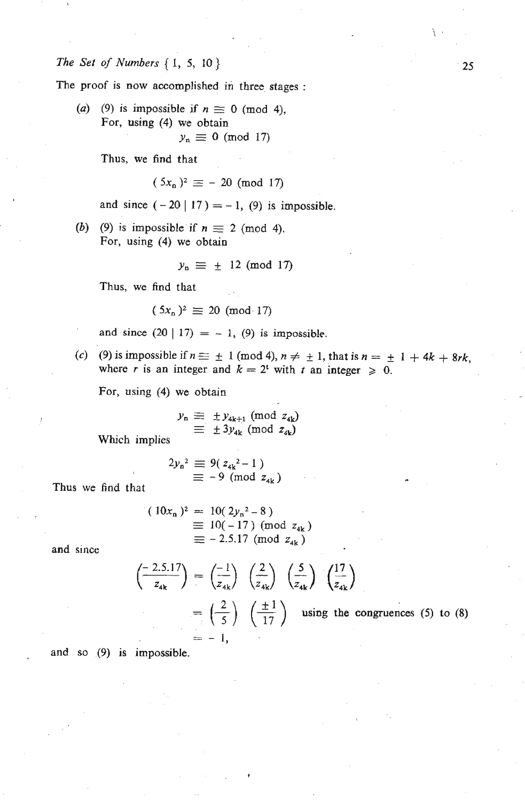*The Set* **of** *Numbers* { **1, 5, 10)** 

**The proof is now accomplished in three stages** :

(a) (9) is impossible if  $n \equiv 0 \pmod{4}$ , **For, using (4) we obtain**   $y_n \equiv 0 \pmod{17}$ 

**Thus, we find that** 

$$
(5x_n)^2 \equiv -20 \pmod{17}
$$

and since  $(-20 | 17) = -1$ , (9) is impossible.

**(b)** (9) is impossible if  $n \equiv 2 \pmod{4}$ . **For, using (4) we obtain** 

$$
y_n \equiv \pm 12 \pmod{17}
$$

Thus, **we find** that

$$
(5x_n)^2 \equiv 20 \pmod{17}
$$

and since  $(20 | 17) = -1$ ,  $(9)$  is impossible.

(c) (9) is impossible if  $n \equiv \pm 1 \pmod{4}$ ,  $n \neq \pm 1$ , that is  $n = \pm 1 + 4k + 8rk$ , where *r* is an integer and  $k = 2^t$  with *t* an integer  $\geq 0$ .

**For, using (4) we obtain** 

$$
y_{n} \equiv \pm y_{4k+1} \pmod{z_{4k}}
$$
  

$$
\equiv \pm 3y_{4k} \pmod{z_{4k}}
$$

Which **implies** 

$$
2y_{n}^{2} \equiv 9(z_{4k}^{2}-1)
$$
  
 
$$
\equiv -9 \pmod{z_{4k}}
$$

**Thus we** find **that** 

$$
(10x_n)^2 = 10(2y_n^2 - 8)
$$
  
\n
$$
\equiv 10(-17) \text{ (mod } z_{4k})
$$
  
\n
$$
\equiv -2.5.17 \text{ (mod } z_{4k})
$$

**and since** 

$$
\begin{aligned}\n\left(\frac{-2.5.17}{z_{4k}}\right) &= \left(\frac{-1}{z_{4k}}\right) \left(\frac{2}{z_{4k}}\right) \left(\frac{5}{z_{4k}}\right) \left(\frac{17}{z_{4k}}\right) \\
&= \left(\frac{2}{5}\right) \left(\frac{\pm 1}{17}\right) \quad \text{using the congruences (5) to (8)} \\
&= -1,\n\end{aligned}
$$

**and so (9) is impossible.** 

25